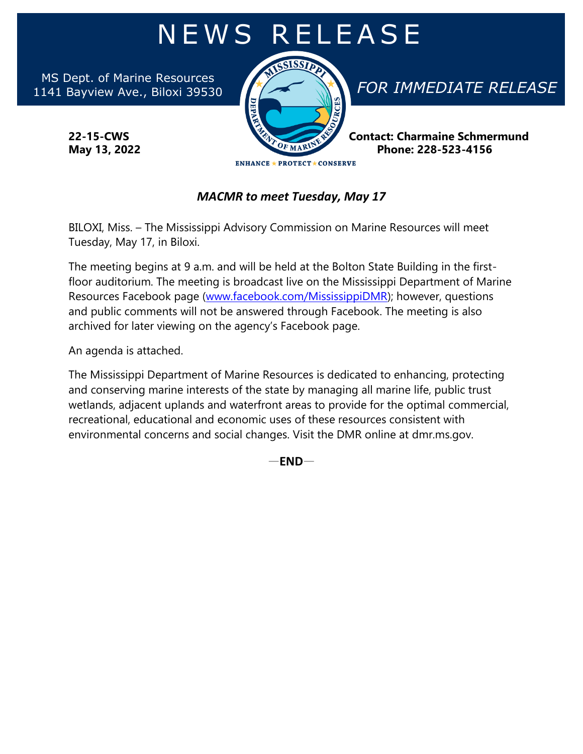## N E W S R E L E A S E

MS Dept. of Marine Resources



## *MACMR to meet Tuesday, May 17*

BILOXI, Miss. – The Mississippi Advisory Commission on Marine Resources will meet Tuesday, May 17, in Biloxi.

The meeting begins at 9 a.m. and will be held at the Bolton State Building in the firstfloor auditorium. The meeting is broadcast live on the Mississippi Department of Marine Resources Facebook page [\(www.facebook.com/MississippiDMR\)](http://www.facebook.com/MississippiDMR); however, questions and public comments will not be answered through Facebook. The meeting is also archived for later viewing on the agency's Facebook page.

An agenda is attached.

The Mississippi Department of Marine Resources is dedicated to enhancing, protecting and conserving marine interests of the state by managing all marine life, public trust wetlands, adjacent uplands and waterfront areas to provide for the optimal commercial, recreational, educational and economic uses of these resources consistent with environmental concerns and social changes. Visit the DMR online at dmr.ms.gov.

 $-$ **END** $-$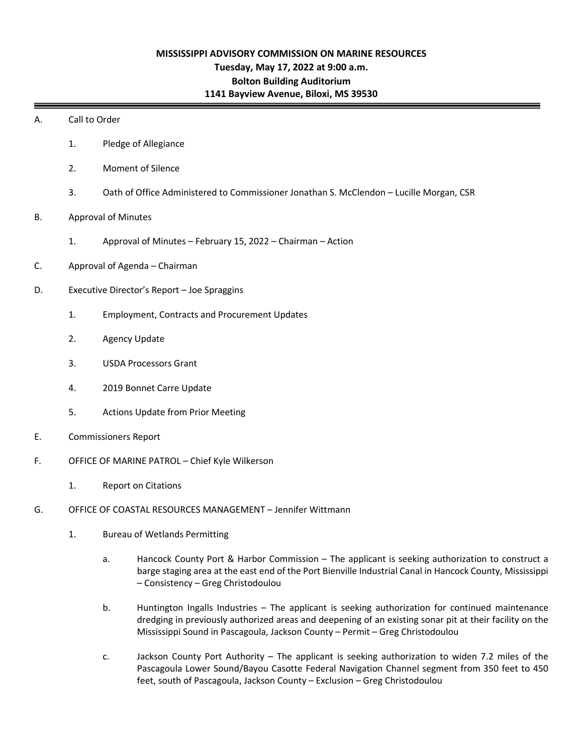## **MISSISSIPPI ADVISORY COMMISSION ON MARINE RESOURCES Tuesday, May 17, 2022 at 9:00 a.m. Bolton Building Auditorium 1141 Bayview Avenue, Biloxi, MS 39530**

## A. Call to Order

- 1. Pledge of Allegiance
- 2. Moment of Silence
- 3. Oath of Office Administered to Commissioner Jonathan S. McClendon Lucille Morgan, CSR
- B. Approval of Minutes
	- 1. Approval of Minutes February 15, 2022 Chairman Action
- C. Approval of Agenda Chairman
- D. Executive Director's Report Joe Spraggins
	- 1. Employment, Contracts and Procurement Updates
	- 2. Agency Update
	- 3. USDA Processors Grant
	- 4. 2019 Bonnet Carre Update
	- 5. Actions Update from Prior Meeting
- E. Commissioners Report
- F. OFFICE OF MARINE PATROL Chief Kyle Wilkerson
	- 1. Report on Citations
- G. OFFICE OF COASTAL RESOURCES MANAGEMENT Jennifer Wittmann
	- 1. Bureau of Wetlands Permitting
		- a. Hancock County Port & Harbor Commission The applicant is seeking authorization to construct a barge staging area at the east end of the Port Bienville Industrial Canal in Hancock County, Mississippi – Consistency – Greg Christodoulou
		- b. Huntington Ingalls Industries The applicant is seeking authorization for continued maintenance dredging in previously authorized areas and deepening of an existing sonar pit at their facility on the Mississippi Sound in Pascagoula, Jackson County – Permit – Greg Christodoulou
		- c. Jackson County Port Authority The applicant is seeking authorization to widen 7.2 miles of the Pascagoula Lower Sound/Bayou Casotte Federal Navigation Channel segment from 350 feet to 450 feet, south of Pascagoula, Jackson County – Exclusion – Greg Christodoulou